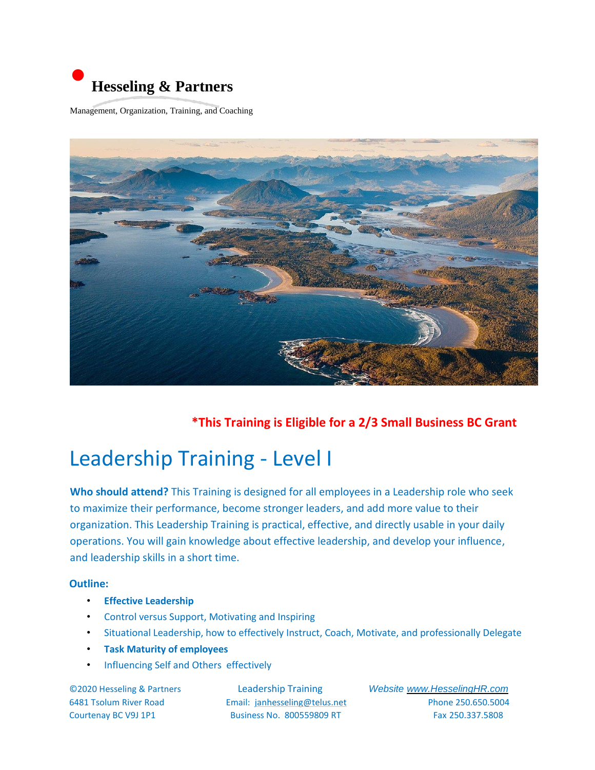

Management, Organization, Training, and Coaching



 **\*This Training is Eligible for a 2/3 Small Business BC Grant** 

## Leadership Training - Level I

**Who should attend?** This Training is designed for all employees in a Leadership role who seek to maximize their performance, become stronger leaders, and add more value to their organization. This Leadership Training is practical, effective, and directly usable in your daily operations. You will gain knowledge about effective leadership, and develop your influence, and leadership skills in a short time.

#### **Outline:**

- **Effective Leadership**
- Control versus Support, Motivating and Inspiring
- Situational Leadership, how to effectively Instruct, Coach, Motivate, and professionally Delegate
- **Task Maturity of employees**
- Influencing Self and Others effectively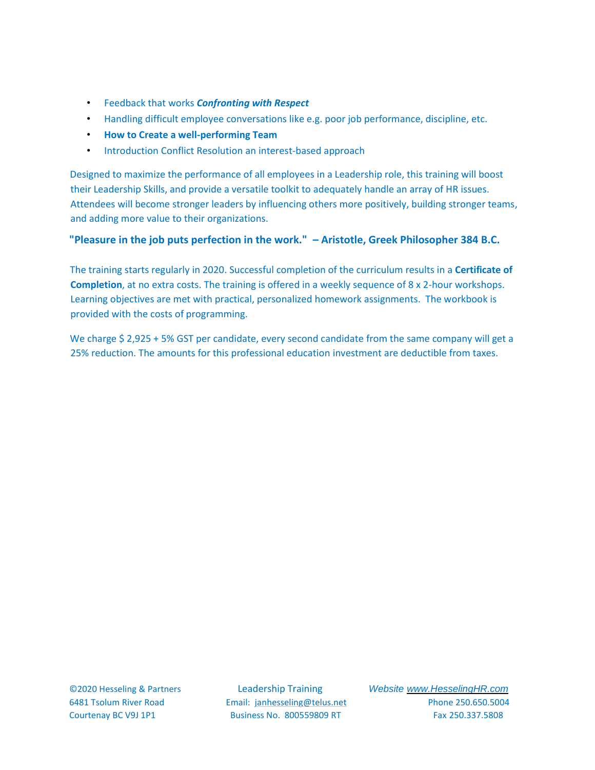- Feedback that works *Confronting with Respect*
- Handling difficult employee conversations like e.g. poor job performance, discipline, etc.
- **How to Create a well-performing Team**
- Introduction Conflict Resolution an interest-based approach

Designed to maximize the performance of all employees in a Leadership role, this training will boost their Leadership Skills, and provide a versatile toolkit to adequately handle an array of HR issues. Attendees will become stronger leaders by influencing others more positively, building stronger teams, and adding more value to their organizations.

#### **"Pleasure in the job puts perfection in the work." – Aristotle, Greek Philosopher 384 B.C.**

The training starts regularly in 2020. Successful completion of the curriculum results in a **Certificate of Completion**, at no extra costs. The training is offered in a weekly sequence of 8 x 2-hour workshops. Learning objectives are met with practical, personalized homework assignments. The workbook is provided with the costs of programming.

We charge \$ 2,925 + 5% GST per candidate, every second candidate from the same company will get a 25% reduction. The amounts for this professional education investment are deductible from taxes.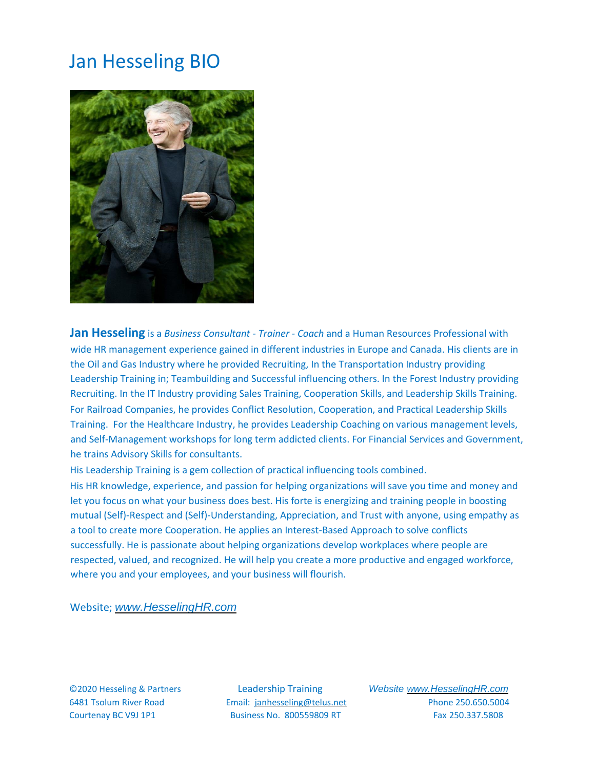### Jan Hesseling BIO



**Jan Hesseling** is a *Business Consultant - Trainer - Coach* and a Human Resources Professional with wide HR management experience gained in different industries in Europe and Canada. His clients are in the Oil and Gas Industry where he provided Recruiting, In the Transportation Industry providing Leadership Training in; Teambuilding and Successful influencing others. In the Forest Industry providing Recruiting. In the IT Industry providing Sales Training, Cooperation Skills, and Leadership Skills Training. For Railroad Companies, he provides Conflict Resolution, Cooperation, and Practical Leadership Skills Training. For the Healthcare Industry, he provides Leadership Coaching on various management levels, and Self-Management workshops for long term addicted clients. For Financial Services and Government, he trains Advisory Skills for consultants.

His Leadership Training is a gem collection of practical influencing tools combined.

His HR knowledge, experience, and passion for helping organizations will save you time and money and let you focus on what your business does best. His forte is energizing and training people in boosting mutual (Self)-Respect and (Self)-Understanding, Appreciation, and Trust with anyone, using empathy as a tool to create more Cooperation. He applies an Interest-Based Approach to solve conflicts successfully. He is passionate about helping organizations develop workplaces where people are respected, valued, and recognized. He will help you create a more productive and engaged workforce, where you and your employees, and your business will flourish.

Website; *www.HesselingHR.com*